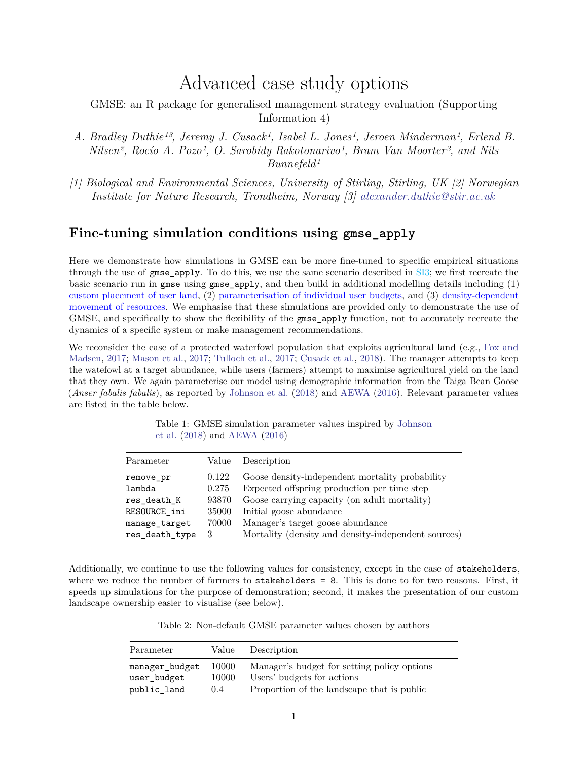# Advanced case study options

<span id="page-0-0"></span>GMSE: an R package for generalised management strategy evaluation (Supporting Information 4)

- *A. Bradley Duthie13, Jeremy J. Cusack1, Isabel L. Jones1, Jeroen Minderman1, Erlend B. Nilsen2, Rocío A. Pozo1, O. Sarobidy Rakotonarivo1, Bram Van Moorter2, and Nils Bunnefeld1*
- *[1] Biological and Environmental Sciences, University of Stirling, Stirling, UK [2] Norwegian Institute for Nature Research, Trondheim, Norway [3] [alexander.duthie@stir.ac.uk](mailto:alexander.duthie@stir.ac.uk)*

## **Fine-tuning simulation conditions using gmse\_apply**

Here we demonstrate how simulations in GMSE can be more fine-tuned to specific empirical situations through the use of gmse\_apply. To do this, we use the same scenario described in SI3; we first recreate the basic scenario run in gmse using gmse\_apply, and then build in additional modelling details including (1) custom placement of user land, (2) parameterisation of individual user budgets, and (3) density-dependent movement of resources. We emphasise that these simulations are provided only to demonstrate the use of GMSE, and specifically to show the flexibility of the gmse\_apply function, not to accurately recreate the dynamics of a specific system or make management recommendations.

We reconsider the case of a protected waterfowl population that exploits agricultural land (e.g., [Fox and](#page-8-0) [Madsen,](#page-8-0) [2017;](#page-8-0) [Mason et al.,](#page-8-1) [2017;](#page-8-1) [Tulloch et al.,](#page-8-2) [2017;](#page-8-2) [Cusack et al.,](#page-8-3) [2018\)](#page-8-3). The manager attempts to keep the watefowl at a target abundance, while users (farmers) attempt to maximise agricultural yield on the land that they own. We again parameterise our model using demographic information from the Taiga Bean Goose (*Anser fabalis fabalis*), as reported by [Johnson et al.](#page-8-4) [\(2018\)](#page-8-4) and [AEWA](#page-8-5) [\(2016\)](#page-8-5). Relevant parameter values are listed in the table below.

Table 1: GMSE simulation parameter values inspired by [Johnson](#page-8-4) [et al.](#page-8-4) [\(2018\)](#page-8-4) and [AEWA](#page-8-5) [\(2016\)](#page-8-5)

| Parameter      | Value | Description                                         |
|----------------|-------|-----------------------------------------------------|
| remove_pr      | 0.122 | Goose density-independent mortality probability     |
| lambda         | 0.275 | Expected offspring production per time step         |
| res death K    | 93870 | Goose carrying capacity (on adult mortality)        |
| RESOURCE ini   | 35000 | Initial goose abundance                             |
| manage target  | 70000 | Manager's target goose abundance                    |
| res_death_type | 3     | Mortality (density and density-independent sources) |

Additionally, we continue to use the following values for consistency, except in the case of stakeholders, where we reduce the number of farmers to stakeholders = 8. This is done to for two reasons. First, it speeds up simulations for the purpose of demonstration; second, it makes the presentation of our custom landscape ownership easier to visualise (see below).

Table 2: Non-default GMSE parameter values chosen by authors

| Parameter                     | Value          | Description                                                               |
|-------------------------------|----------------|---------------------------------------------------------------------------|
| manager budget<br>user budget | 10000<br>10000 | Manager's budget for setting policy options<br>Users' budgets for actions |
| public land                   | 0.4            | Proportion of the landscape that is public                                |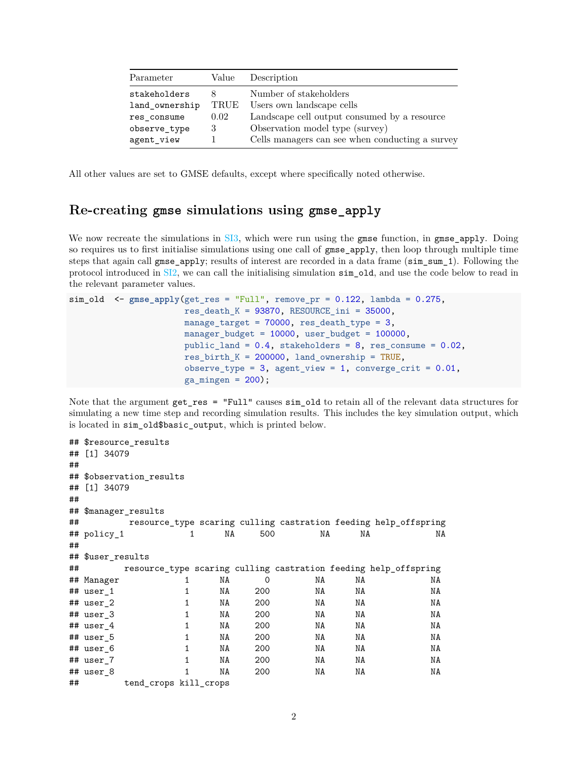| Parameter      | Value | Description                                     |
|----------------|-------|-------------------------------------------------|
| stakeholders   | x     | Number of stakeholders                          |
| land ownership | TRUE  | Users own landscape cells                       |
| res consume    | 0.02  | Landscape cell output consumed by a resource    |
| observe_type   | 3     | Observation model type (survey)                 |
| agent_view     |       | Cells managers can see when conducting a survey |

All other values are set to GMSE defaults, except where specifically noted otherwise.

## **Re-creating gmse simulations using gmse\_apply**

We now recreate the simulations in [SI3,](#page-0-0) which were run using the gmse function, in gmse\_apply. Doing so requires us to first initialise simulations using one call of gmse\_apply, then loop through multiple time steps that again call gmse apply; results of interest are recorded in a data frame (sim sum 1). Following the protocol introduced in [SI2,](#page-0-0) we can call the initialising simulation sim\_old, and use the code below to read in the relevant parameter values.

```
sim_old <- gmse_apply(get_res = "Full", remove_pr = 0.122, lambda = 0.275,
                       res\_death_K = 93870, RESOURCE_ini = 35000,
                       manage_target = 70000, res_death_type = 3,
                       manager budget = 10000, user budget = 100000,
                       public_land = 0.4, stakeholders = 8, res_consume = 0.02,
                       res birth K = 200000, land ownership = TRUE,
                       observe_type = 3, agent_view = 1, converge_crit = 0.01,
                       ga\_mingen = 200;
```
Note that the argument get\_res = "Full" causes sim\_old to retain all of the relevant data structures for simulating a new time step and recording simulation results. This includes the key simulation output, which is located in sim\_old\$basic\_output, which is printed below.

```
## $resource_results
## [1] 34079
##
## $observation results
## [1] 34079
##
## $manager_results
## resource_type scaring culling castration feeding help_offspring
## policy_1 1 NA 500 NA NA NA
##
## $user results
## resource_type scaring culling castration feeding help_offspring
## Manager 1 NA 0 NA NA NA
## user_1 1 NA 200 NA NA NA
## user_2 1 NA 200 NA NA NA
## user_3 1 NA 200 NA NA NA
## user_4 1 NA 200 NA NA NA
## user_5 1 NA 200 NA NA NA
## user_6 1 NA 200 NA NA NA
## user_7 1 NA 200 NA NA NA
## user_8 1 NA 200 NA NA NA
## tend_crops kill_crops
```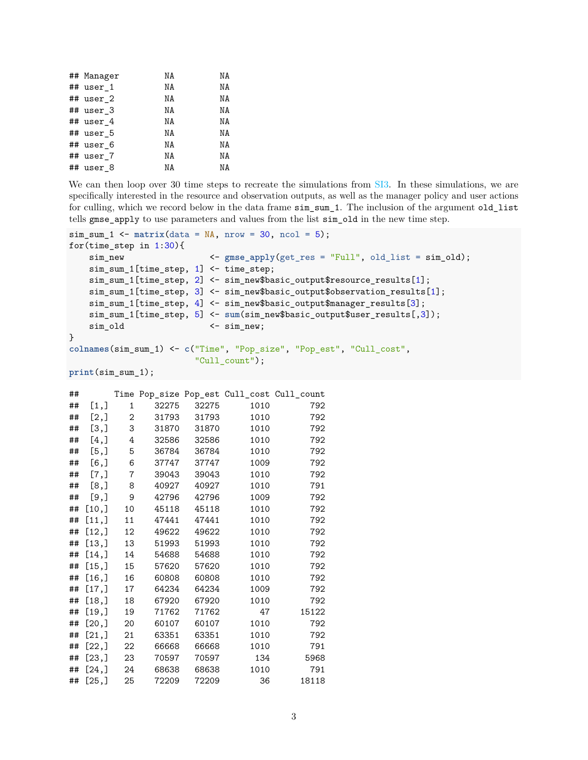| ## Manager  | ΝA | ΝA |
|-------------|----|----|
| ## user_1   | NA | ΝA |
| ## user 2   | NA | ΝA |
| ## user 3   | NA | NA |
| $##$ user 4 | NA | ΝA |
| ## user_5   | NA | ΝA |
| ## user 6   | NA | ΝA |
| ## user 7   | NA | NA |
| ## user_8   | ΝA | ΝA |

We can then loop over 30 time steps to recreate the simulations from  $SI3$ . In these simulations, we are specifically interested in the resource and observation outputs, as well as the manager policy and user actions for culling, which we record below in the data frame sim\_sum\_1. The inclusion of the argument old\_list tells gmse\_apply to use parameters and values from the list sim\_old in the new time step.

```
sim\_sum_1 <- matrix(data = NA, nrow = 30, ncol = 5);for(time_step in 1:30){
   sim_new \leftarrow gmse_apply(get_res = "Full", old_list = sim_old);
   sim_sum_1[time_step, 1] <- time_step;
   sim_sum_1[time_step, 2] <- sim_new$basic_output$resource_results[1];
   sim_sum_1[time_step, 3] <- sim_new$basic_output$observation_results[1];
   sim_sum_1[time_step, 4] <- sim_new$basic_output$manager_results[3];
   sim_sum_1[time_step, 5] <- sum(sim_new$basic_output$user_results[,3]);
   sim_old <- sim_new;
}
colnames(sim_sum_1) <- c("Time", "Pop_size", "Pop_est", "Cull_cost",
                        "Cull_count");
print(sim_sum_1);
```

| ## |         |    |       |       |      | Time Pop_size Pop_est Cull_cost Cull_count |
|----|---------|----|-------|-------|------|--------------------------------------------|
| ## | [1,]    | 1  | 32275 | 32275 | 1010 | 792                                        |
| ## | [2,]    | 2  | 31793 | 31793 | 1010 | 792                                        |
| ## | [3,]    | 3  | 31870 | 31870 | 1010 | 792                                        |
| ## | $[4,$ ] | 4  | 32586 | 32586 | 1010 | 792                                        |
| ## | [5,]    | 5  | 36784 | 36784 | 1010 | 792                                        |
| ## | $[6,$ ] | 6  | 37747 | 37747 | 1009 | 792                                        |
| ## | $[7,$ ] | 7  | 39043 | 39043 | 1010 | 792                                        |
| ## | [8,]    | 8  | 40927 | 40927 | 1010 | 791                                        |
| ## | [9,]    | 9  | 42796 | 42796 | 1009 | 792                                        |
| ## | [10,]   | 10 | 45118 | 45118 | 1010 | 792                                        |
| ## | [11,]   | 11 | 47441 | 47441 | 1010 | 792                                        |
| ## | [12,]   | 12 | 49622 | 49622 | 1010 | 792                                        |
| ## | [13,]   | 13 | 51993 | 51993 | 1010 | 792                                        |
| ## | [14,]   | 14 | 54688 | 54688 | 1010 | 792                                        |
| ## | [15,]   | 15 | 57620 | 57620 | 1010 | 792                                        |
| ## | [16,]   | 16 | 60808 | 60808 | 1010 | 792                                        |
| ## | [17,]   | 17 | 64234 | 64234 | 1009 | 792                                        |
| ## | [18,]   | 18 | 67920 | 67920 | 1010 | 792                                        |
| ## | [19,]   | 19 | 71762 | 71762 | 47   | 15122                                      |
| ## | [20,]   | 20 | 60107 | 60107 | 1010 | 792                                        |
| ## | [21,]   | 21 | 63351 | 63351 | 1010 | 792                                        |
| ## | [22,]   | 22 | 66668 | 66668 | 1010 | 791                                        |
| ## | [23,]   | 23 | 70597 | 70597 | 134  | 5968                                       |
| ## | [24,]   | 24 | 68638 | 68638 | 1010 | 791                                        |
| ## | [25,]   | 25 | 72209 | 72209 | 36   | 18118                                      |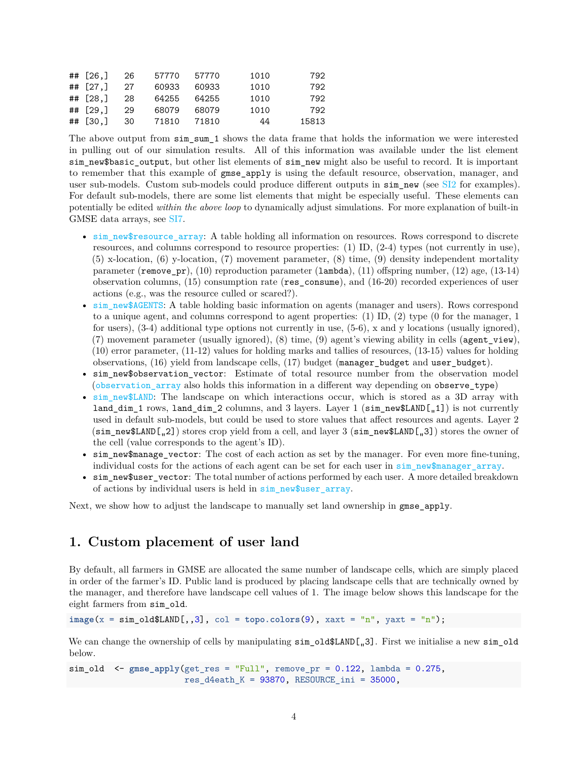| ## [26.]    | -26  | 57770 | 57770 | 1010 | 792   |
|-------------|------|-------|-------|------|-------|
| ## $[27.1]$ | -27  | 60933 | 60933 | 1010 | 792   |
| ## $[28.1]$ | -28  | 64255 | 64255 | 1010 | 792   |
| ## $[29.1]$ | -29  | 68079 | 68079 | 1010 | 792   |
| ## [30.]    | - 30 | 71810 | 71810 | 44   | 15813 |

The above output from sim sum 1 shows the data frame that holds the information we were interested in pulling out of our simulation results. All of this information was available under the list element sim new\$basic output, but other list elements of sim new might also be useful to record. It is important to remember that this example of gmse\_apply is using the default resource, observation, manager, and user sub-models. Custom sub-models could produce different outputs in sim\_new (see [SI2](#page-0-0) for examples). For default sub-models, there are some list elements that might be especially useful. These elements can potentially be edited *within the above loop* to dynamically adjust simulations. For more explanation of built-in GMSE data arrays, see [SI7.](#page-0-0)

- sim\_new\$resource\_array: A table holding all information on resources. Rows correspond to discrete resources, and columns correspond to resource properties: (1) ID, (2-4) types (not currently in use), (5) x-location, (6) y-location, (7) movement parameter, (8) time, (9) density independent mortality parameter (remove pr), (10) reproduction parameter (lambda), (11) offspring number, (12) age, (13-14) observation columns, (15) consumption rate (res\_consume), and (16-20) recorded experiences of user actions (e.g., was the resource culled or scared?).
- sim\_new\$AGENTS: A table holding basic information on agents (manager and users). Rows correspond to a unique agent, and columns correspond to agent properties: (1) ID, (2) type (0 for the manager, 1 for users), (3-4) additional type options not currently in use, (5-6), x and y locations (usually ignored), (7) movement parameter (usually ignored), (8) time, (9) agent's viewing ability in cells (agent\_view), (10) error parameter, (11-12) values for holding marks and tallies of resources, (13-15) values for holding observations, (16) yield from landscape cells, (17) budget (manager\_budget and user\_budget).
- sim\_new\$observation\_vector: Estimate of total resource number from the observation model (observation\_array also holds this information in a different way depending on observe\_type)
- [sim\\_new\\$LAND](#page-0-0): The landscape on which interactions occur, which is stored as a 3D array with land\_dim\_1 rows, land\_dim\_2 columns, and 3 layers. Layer 1 ( $\sin$ \_new\$LAND[...1]) is not currently used in default sub-models, but could be used to store values that affect resources and agents. Layer 2  $(\text{sim\_new$LAND[,2])$  stores crop yield from a cell, and layer 3  $(\text{sim\_new$LAND[,3])$  stores the owner of the cell (value corresponds to the agent's ID).
- sim\_new\$manage\_vector: The cost of each action as set by the manager. For even more fine-tuning, individual costs for the actions of each agent can be set for each user in sim new\$manager array.
- sim\_new\$user\_vector: The total number of actions performed by each user. A more detailed breakdown of actions by individual users is held in sim new \$user array.

Next, we show how to adjust the landscape to manually set land ownership in gmse\_apply.

## **1. Custom placement of user land**

By default, all farmers in GMSE are allocated the same number of landscape cells, which are simply placed in order of the farmer's ID. Public land is produced by placing landscape cells that are technically owned by the manager, and therefore have landscape cell values of 1. The image below shows this landscape for the eight farmers from sim\_old.

**image**(x = sim\_old\$LAND[,,3], col = **topo.colors**(9), xaxt = "n", yaxt = "n");

We can change the ownership of cells by manipulating  $\sin_0\text{d}$ \$LAND[ $\sin_3$ ]. First we initialise a new  $\sin_0\text{d}$ d below.

```
sim_old <- gmse_apply(get_res = "Full", remove_pr = 0.122, lambda = 0.275,
                       res_d4eath_K = 93870, RESOURCE_ini = 35000,
```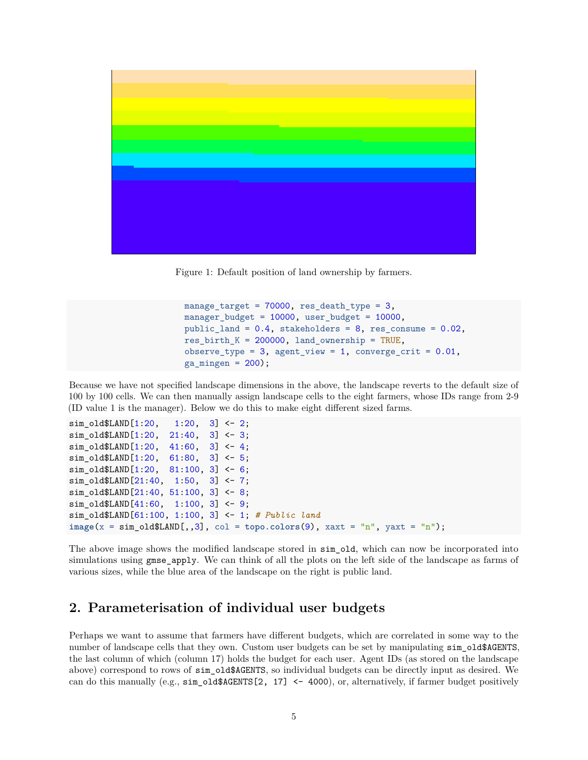

Figure 1: Default position of land ownership by farmers.

```
manage_target = 70000, res_death_type = 3,
manager_budget = 10000, user_budget = 10000,
public land = 0.4, stakeholders = 8, res consume = 0.02,
res\_birth_K = 200000, land_ownership = TRUE,
observe_type = 3, agent\_view = 1, converge\_crit = 0.01,
ga\_mingen = 200;
```
Because we have not specified landscape dimensions in the above, the landscape reverts to the default size of 100 by 100 cells. We can then manually assign landscape cells to the eight farmers, whose IDs range from 2-9 (ID value 1 is the manager). Below we do this to make eight different sized farms.

```
sim\_old$LAND[1:20, 1:20, 3] < -2;sim\_old$LAND[1:20, 21:40, 3] < -3;sim\_old$LAND[1:20, 41:60, 3] < -4;sim\_old$LAND[1:20, 61:80, 3] <- 5;
sim\_old$LAND[1:20, 81:100, 3] < -6;sim_old$LAND[21:40, 1:50, 3] <- 7;
sim_old$LAND[21:40, 51:100, 3] <- 8;
sim_old$LAND[41:60, 1:100, 3] <- 9;
sim_old$LAND[61:100, 1:100, 3] <- 1; # Public land
image(x = sim_old$LAND[,,3], col = topo.colors(9), xaxt = "n", yaxt = "n");
```
The above image shows the modified landscape stored in sim\_old, which can now be incorporated into simulations using gmse apply. We can think of all the plots on the left side of the landscape as farms of various sizes, while the blue area of the landscape on the right is public land.

#### **2. Parameterisation of individual user budgets**

Perhaps we want to assume that farmers have different budgets, which are correlated in some way to the number of landscape cells that they own. Custom user budgets can be set by manipulating sim\_old\$AGENTS, the last column of which (column 17) holds the budget for each user. Agent IDs (as stored on the landscape above) correspond to rows of sim\_old\$AGENTS, so individual budgets can be directly input as desired. We can do this manually (e.g.,  $\sin_0$ ld $\frac{400}{2}$ , 17] <- 4000), or, alternatively, if farmer budget positively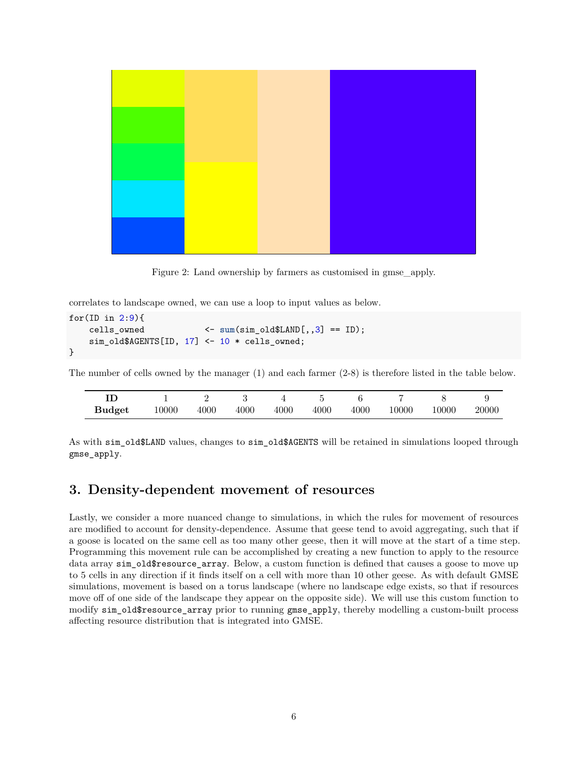

Figure 2: Land ownership by farmers as customised in gmse\_apply.

correlates to landscape owned, we can use a loop to input values as below.

```
for(ID in 2:9){
   cells_owned <- sum(sim_old$LAND[,,3] == ID);
   sim_old$AGENTS[ID, 17] <- 10 * cells_owned;
}
```
The number of cells owned by the manager (1) and each farmer (2-8) is therefore listed in the table below.

| <b>Budget</b> | 10000 | 4000 | 4000 | 4000 | 4000 | 4000 | 10000 | 10000 | 20000 |
|---------------|-------|------|------|------|------|------|-------|-------|-------|

As with sim\_old\$LAND values, changes to sim\_old\$AGENTS will be retained in simulations looped through gmse\_apply.

## **3. Density-dependent movement of resources**

Lastly, we consider a more nuanced change to simulations, in which the rules for movement of resources are modified to account for density-dependence. Assume that geese tend to avoid aggregating, such that if a goose is located on the same cell as too many other geese, then it will move at the start of a time step. Programming this movement rule can be accomplished by creating a new function to apply to the resource data array sim\_old\$resource\_array. Below, a custom function is defined that causes a goose to move up to 5 cells in any direction if it finds itself on a cell with more than 10 other geese. As with default GMSE simulations, movement is based on a torus landscape (where no landscape edge exists, so that if resources move off of one side of the landscape they appear on the opposite side). We will use this custom function to modify sim\_old\$resource\_array prior to running gmse\_apply, thereby modelling a custom-built process affecting resource distribution that is integrated into GMSE.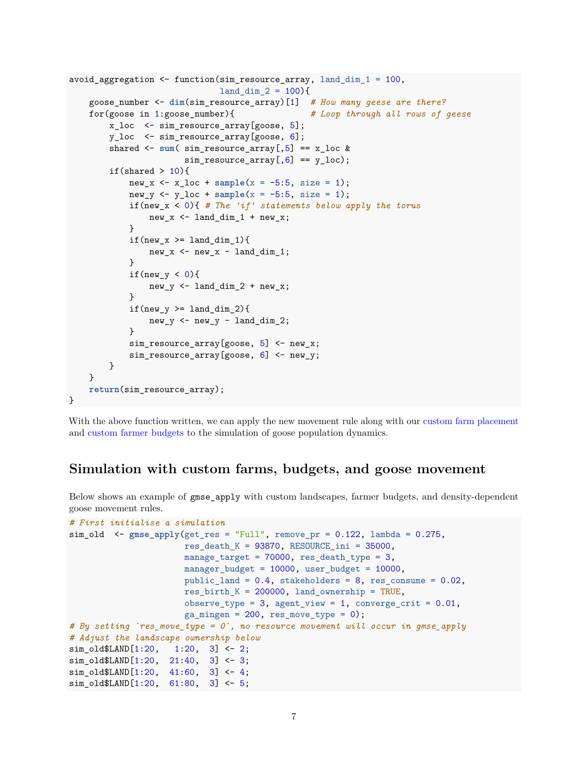```
avoid_aggregation <- function(sim_resource_array, land_dim_1 = 100,
                               land\_dim_2 = 100 {
    goose_number <- dim(sim_resource_array)[1] # How many geese are there?
    for(goose in 1:goose_number){ # Loop through all rows of geese
        x_loc <- sim_resource_array[goose, 5];
        y_loc <- sim_resource_array[goose, 6];
        shared \leq sum( sim_resource_array[,5] == x_loc &
                        sim\_resource\_array[, 6] == y\_loc);if(shared > 10){
            new_x <- x_loc + sample(x = -5:5, size = 1);
            new_y <- y_loc + sample(x = -5:5, size = 1);if(new_x < 0){ # The 'if' statements below apply the torus
                new x \le land dim 1 + new x;
            }
            if(new_x \geq 1 and dim_1}
                new_x \leftarrow new_x - land\_dim_1;}
            if(new_y < 0){
                new_y \leftarrow land_dim_2 + new_x;
            }
            if(new_y \geq 1and_dim_2){
                new_y \leftarrow new_y - land\_dim_2;}
            sim\_resource\_array[goose, 5] <- new_x;sim_resource_array[goose, 6] <- new_y;
        }
    }
    return(sim_resource_array);
}
```
With the above function written, we can apply the new movement rule along with our [custom farm placement](#page-0-0) and [custom farmer budgets](#page-0-0) to the simulation of goose population dynamics.

## **Simulation with custom farms, budgets, and goose movement**

Below shows an example of gmse apply with custom landscapes, farmer budgets, and density-dependent goose movement rules.

```
# First initialise a simulation
sim_old <- gmse_apply(get_res = "Full", remove_pr = 0.122, lambda = 0.275,
                       res_death_K = 93870, RESOURCE_ini = 35000,
                       mange_{target} = 70000, res_{death_{type}} = 3,
                       manager_budget = 10000, user_budget = 10000,
                       public land = 0.4, stakeholders = 8, res consume = 0.02,
                       res\_birth_K = 200000, land_ownership = TRUE,
                       observe_type = 3, agent_view = 1, converge_crit = 0.01,
                       ga\_mingen = 200, res\_move\_type = 0;
# By setting `res_move_type = 0`, no resource movement will occur in gmse_apply
# Adjust the landscape ownership below
sim\_old$LAND[1:20, 1:20, 3] <- 2;
sim_old$LAND[1:20, 21:40, 3] <- 3;
sim\_old$LAND[1:20, 41:60, 3] < -4;sim_old$LAND[1:20, 61:80, 3] <- 5;
```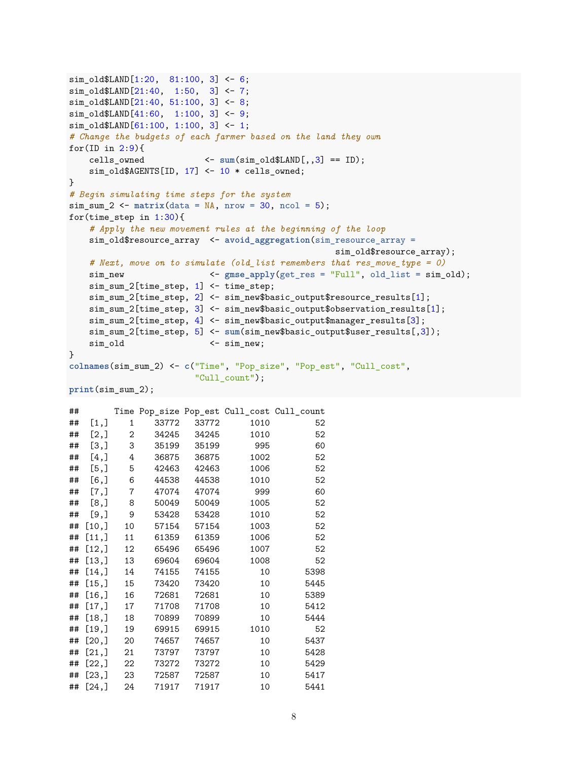```
sim_old$LAND[1:20, 81:100, 3] <- 6;
sim_old$LAND[21:40, 1:50, 3] <- 7;
sim_old$LAND[21:40, 51:100, 3] <- 8;
sim_old$LAND[41:60, 1:100, 3] <- 9;
sim\_old$LAND[61:100, 1:100, 3] < -1;# Change the budgets of each farmer based on the land they own
for(ID in 2:9){
   cells owned \langle - \text{sum}(\text{sim old$LAND}[, 0.3] == ID);
   sim_old$AGENTS[ID, 17] <- 10 * cells_owned;
}
# Begin simulating time steps for the system
sim\_sum_2 <- matrix(data = NA, nrow = 30, ncol = 5);for(time_step in 1:30){
   # Apply the new movement rules at the beginning of the loop
   sim_old$resource_array <- avoid_aggregation(sim_resource_array =
                                           sim_old$resource_array);
   # Next, move on to simulate (old_list remembers that res_move_type = 0)
   sim_new <- gmse_apply(get_res = "Full", old_list = sim_old);
   sim_sum_2[time_step, 1] <- time_step;
   sim_sum_2[time_step, 2] <- sim_new$basic_output$resource_results[1];
   sim_sum_2[time_step, 3] <- sim_new$basic_output$observation_results[1];
   sim_sum_2[time_step, 4] <- sim_new$basic_output$manager_results[3];
   sim_sum_2[time_step, 5] <- sum(sim_new$basic_output$user_results[,3]);
   sim_old <- sim_new;
}
colnames(sim_sum_2) <- c("Time", "Pop_size", "Pop_est", "Cull_cost",
                    "Cull_count");
print(sim_sum_2);
## Time Pop_size Pop_est Cull_cost Cull_count
## [1,] 1 33772 33772 1010 52
## [2,] 2 34245 34245 1010 52
## [3,] 3 35199 35199 995 60
## [4,] 4 36875 36875 1002 52
## [5,] 5 42463 42463 1006 52
## [6,] 6 44538 44538 1010 52
## [7,] 7 47074 47074 999 60
## [8,] 8 50049 50049 1005 52
## [9,] 9 53428 53428 1010 52
## [10,] 10 57154 57154 1003 52
## [11,] 11 61359 61359 1006 52
## [12,] 12 65496 65496 1007 52
## [13,] 13 69604 69604 1008 52
## [14,] 14 74155 74155 10 5398
## [15,] 15 73420 73420 10 5445
## [16,] 16 72681 72681 10 5389
## [17,] 17 71708 71708 10 5412
## [18,] 18 70899 70899 10 5444
```
## [19,] 19 69915 69915 1010 52 ## [20,] 20 74657 74657 10 5437 ## [21,] 21 73797 73797 10 5428 ## [22,] 22 73272 73272 10 5429 ## [23,] 23 72587 72587 10 5417 ## [24,] 24 71917 71917 10 5441